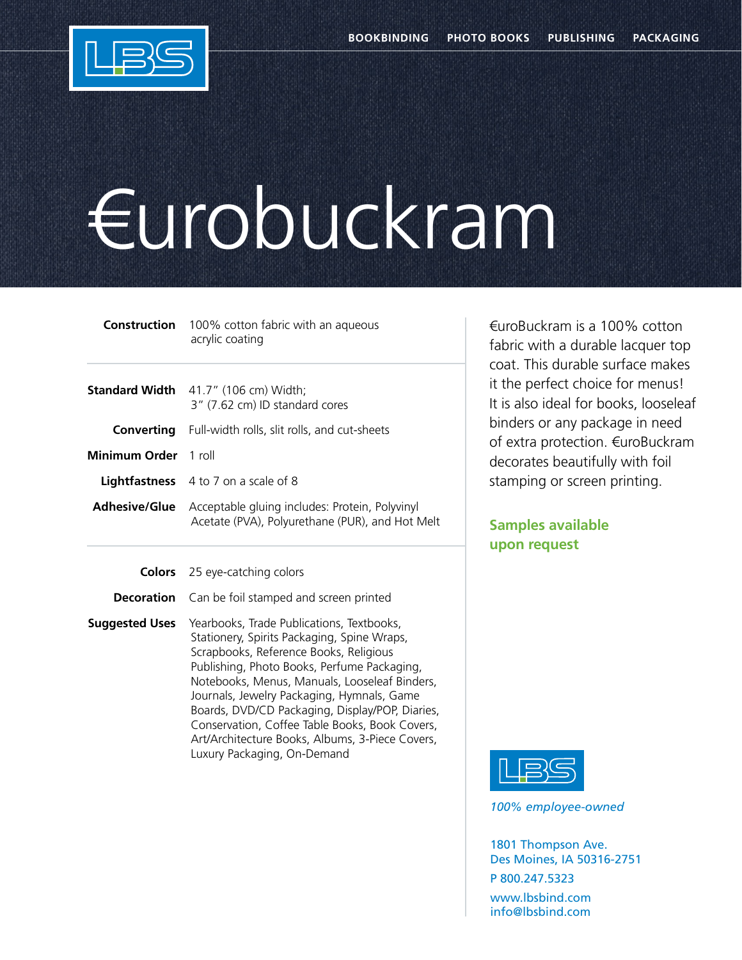

## €urobuckram

|                      | <b>Construction</b> 100% cotton fabric with an aqueous<br>acrylic coating                                              |
|----------------------|------------------------------------------------------------------------------------------------------------------------|
|                      | <b>Standard Width</b> 41.7" (106 cm) Width;<br>3" (7.62 cm) ID standard cores                                          |
| Converting           | Full-width rolls, slit rolls, and cut-sheets                                                                           |
| Minimum Order 1 roll |                                                                                                                        |
|                      | <b>Lightfastness</b> 4 to 7 on a scale of 8                                                                            |
|                      | <b>Adhesive/Glue</b> Acceptable gluing includes: Protein, Polyvinyl<br>Acetate (PVA), Polyurethane (PUR), and Hot Melt |

**Colors** 25 eye-catching colors

**Decoration** Can be foil stamped and screen printed

**Suggested Uses** Yearbooks, Trade Publications, Textbooks, Stationery, Spirits Packaging, Spine Wraps, Scrapbooks, Reference Books, Religious Publishing, Photo Books, Perfume Packaging, Notebooks, Menus, Manuals, Looseleaf Binders, Journals, Jewelry Packaging, Hymnals, Game Boards, DVD/CD Packaging, Display/POP, Diaries, Conservation, Coffee Table Books, Book Covers, Art/Architecture Books, Albums, 3-Piece Covers, Luxury Packaging, On-Demand

€uroBuckram is a 100% cotton fabric with a durable lacquer top coat. This durable surface makes it the perfect choice for menus! It is also ideal for books, looseleaf binders or any package in need of extra protection. €uroBuckram decorates beautifully with foil stamping or screen printing.

## **Samples available upon request**



*100% employee-owned*

1801 Thompson Ave. Des Moines, IA 50316-2751 P 800.247.5323 www.lbsbind.com info@lbsbind.com